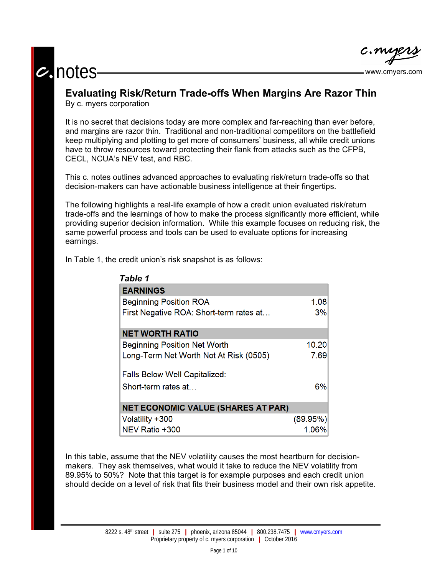# **c.** notes www.cmyers.com



## **Evaluating Risk/Return Trade-offs When Margins Are Razor Thin** By c. myers corporation

It is no secret that decisions today are more complex and far-reaching than ever before, and margins are razor thin. Traditional and non-traditional competitors on the battlefield keep multiplying and plotting to get more of consumers' business, all while credit unions have to throw resources toward protecting their flank from attacks such as the CFPB, CECL, NCUA's NEV test, and RBC.

This c. notes outlines advanced approaches to evaluating risk/return trade-offs so that decision-makers can have actionable business intelligence at their fingertips.

The following highlights a real-life example of how a credit union evaluated risk/return trade-offs and the learnings of how to make the process significantly more efficient, while providing superior decision information. While this example focuses on reducing risk, the same powerful process and tools can be used to evaluate options for increasing earnings.

In Table 1, the credit union's risk snapshot is as follows:

| <b>Table 1</b>                            |          |
|-------------------------------------------|----------|
| <b>EARNINGS</b>                           |          |
| <b>Beginning Position ROA</b>             | 1.08     |
| First Negative ROA: Short-term rates at   | 3%       |
| <b>NET WORTH RATIO</b>                    |          |
| <b>Beginning Position Net Worth</b>       | 10.20    |
| Long-Term Net Worth Not At Risk (0505)    | 7.69     |
| <b>Falls Below Well Capitalized:</b>      |          |
| Short-term rates at                       | 6%       |
| <b>NET ECONOMIC VALUE (SHARES AT PAR)</b> |          |
| Volatility +300                           | (89.95%) |
| NEV Ratio +300                            | 1.06%    |

In this table, assume that the NEV volatility causes the most heartburn for decisionmakers. They ask themselves, what would it take to reduce the NEV volatility from 89.95% to 50%? Note that this target is for example purposes and each credit union should decide on a level of risk that fits their business model and their own risk appetite.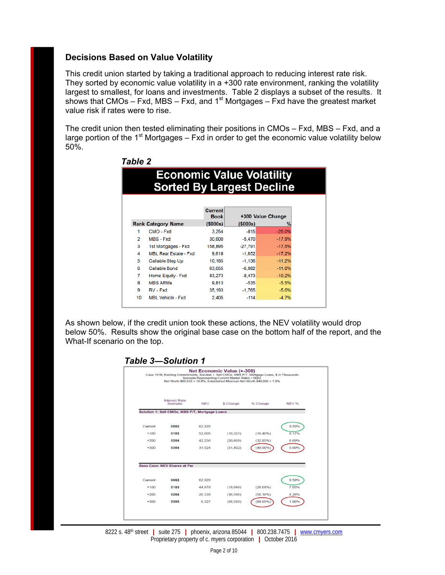## **Decisions Based on Value Volatility**

 *Table 2* 

This credit union started by taking a traditional approach to reducing interest rate risk. They sorted by economic value volatility in a +300 rate environment, ranking the volatility largest to smallest, for loans and investments. Table 2 displays a subset of the results. It shows that CMOs – Fxd, MBS – Fxd, and 1<sup>st</sup> Mortgages – Fxd have the greatest market value risk if rates were to rise.

The credit union then tested eliminating their positions in CMOs – Fxd, MBS – Fxd, and a large portion of the  $1<sup>st</sup>$  Mortgages – Fxd in order to get the economic value volatility below 50%.

| Tavie z        |                                                                      |                               |           |                        |  |  |  |
|----------------|----------------------------------------------------------------------|-------------------------------|-----------|------------------------|--|--|--|
|                | <b>Economic Value Volatility</b><br><b>Sorted By Largest Decline</b> |                               |           |                        |  |  |  |
|                |                                                                      | <b>Current</b><br><b>Book</b> |           | +300 Value Change<br>% |  |  |  |
|                | <b>Rank Category Name</b>                                            | $($ \$000s $)$                | (\$000s)  |                        |  |  |  |
| 1              | CMO - Fxd                                                            | 3.254                         | $-815$    | $-25.0%$               |  |  |  |
| $\overline{2}$ | MBS - Fxd                                                            | 30,600                        | $-5.470$  | $-17.9%$               |  |  |  |
| 3              | 1st Mortgages - Fxd                                                  | 158,895                       | $-27,791$ | $-17.5%$               |  |  |  |
| 4              | <b>MBL Real Estate - Fxd</b>                                         | 9,618                         | $-1.652$  | $-17.2%$               |  |  |  |
| 5              | Callable Step Up                                                     | 10,185                        | $-1,136$  | $-11.2%$               |  |  |  |
| 6              | <b>Callable Bond</b>                                                 | 63,655                        | $-6,982$  | $-11.0%$               |  |  |  |
| 7              | Home Equity - Fxd                                                    | 83,273                        | $-8,473$  | $-10.2%$               |  |  |  |
| 8              | <b>MBS ARMS</b>                                                      | 9,813                         | $-535$    | $-5.5%$                |  |  |  |
| 9              | RV - Fxd                                                             | 35,193                        | $-1,765$  | $-5.0%$                |  |  |  |
| 10             | <b>MBL Vehicle - Fxd</b>                                             | 2,405                         | $-114$    | $-4.7%$                |  |  |  |
|                |                                                                      |                               |           |                        |  |  |  |

As shown below, if the credit union took these actions, the NEV volatility would drop below 50%. Results show the original base case on the bottom half of the report, and the What-If scenario on the top.

#### *Table 3―Solution 1*

|         | Case 151B, Existing Commitments, Solution 1: Sell CMOs, MBS P/T, Mortgage Loans, \$ in Thousands |            | Net Economic Value (+-300)<br>Scenario Representing Current Market Rates = 0002 | Net Worth \$65.838 = 10.0%. Established Minimum Net Worth \$46.092 = 7.0% |              |
|---------|--------------------------------------------------------------------------------------------------|------------|---------------------------------------------------------------------------------|---------------------------------------------------------------------------|--------------|
|         | <b>Interest Rate</b><br>Scenario                                                                 | <b>NEV</b> | \$ Change                                                                       | % Change                                                                  | <b>NEV %</b> |
|         | Solution 1: Sell CMOs, MBS P/T, Mortgage Loans                                                   |            |                                                                                 |                                                                           |              |
| Current | 0002                                                                                             | 62.926     |                                                                                 |                                                                           | 9.59%        |
| $+100$  | 0103                                                                                             | 52.605     | (10, 321)                                                                       | $(16.40\%)$                                                               | 8.17%        |
| $+200$  | 0204                                                                                             | 42,256     | (20, 669)                                                                       | (32.85%)                                                                  | 6.69%        |
| $+300$  | 0305                                                                                             | 31.524     | (31.402)                                                                        | (49.90%                                                                   | 5.09%        |
|         | Base Case: NEV Shares at Par                                                                     |            |                                                                                 |                                                                           |              |
| Current | 0002                                                                                             | 62.926     |                                                                                 |                                                                           | 9.59%        |
| $+100$  | 0103                                                                                             | 44.878     | (18,048)                                                                        | $(28.68\%)$                                                               | 7.05%        |
| $+200$  | 0204                                                                                             | 26,330     | (36, 596)                                                                       | $(58.16\%)$                                                               | 4.28%        |
| $+300$  | 0305                                                                                             | 6,327      | (56, 599)                                                                       | $(89.95\%)$                                                               | 1.06%        |

8222 s. 48th street **|** suite 275 **|** phoenix, arizona 85044 **|** 800.238.7475 **|** www.cmyers.com Proprietary property of c. myers corporation **|** October 2016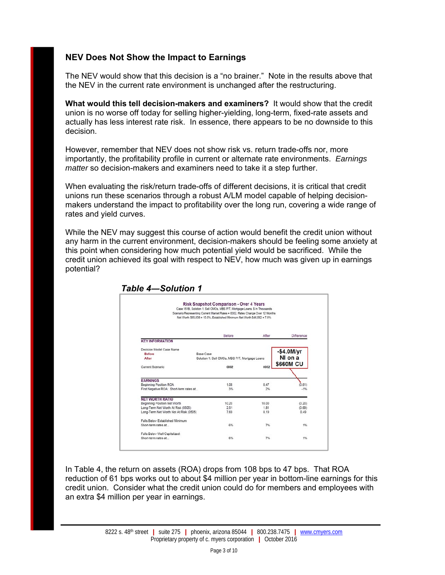# **NEV Does Not Show the Impact to Earnings**

The NEV would show that this decision is a "no brainer." Note in the results above that the NEV in the current rate environment is unchanged after the restructuring.

**What would this tell decision-makers and examiners?** It would show that the credit union is no worse off today for selling higher-yielding, long-term, fixed-rate assets and actually has less interest rate risk. In essence, there appears to be no downside to this decision.

However, remember that NEV does not show risk vs. return trade-offs nor, more importantly, the profitability profile in current or alternate rate environments. *Earnings matter* so decision-makers and examiners need to take it a step further.

When evaluating the risk/return trade-offs of different decisions, it is critical that credit unions run these scenarios through a robust A/LM model capable of helping decisionmakers understand the impact to profitability over the long run, covering a wide range of rates and yield curves.

While the NEV may suggest this course of action would benefit the credit union without any harm in the current environment, decision-makers should be feeling some anxiety at this point when considering how much potential yield would be sacrificed. While the credit union achieved its goal with respect to NEV, how much was given up in earnings potential?

|                                         | Case 151B, Solution 1: Sell CMOs, MBS P/T, Mortgage Loans, \$ in Thousands<br>Scenario Representing Current Market Rates = 0002, Rates Change Over 12 Months<br>Net Worth \$65,838 = 10.0%, Established Minimum Net Worth \$46,092 = 7.0% |       |              |
|-----------------------------------------|-------------------------------------------------------------------------------------------------------------------------------------------------------------------------------------------------------------------------------------------|-------|--------------|
|                                         | Before                                                                                                                                                                                                                                    | After | Difference   |
| <b>KEY INFORMATION</b>                  |                                                                                                                                                                                                                                           |       |              |
| Decision Model Case Name                |                                                                                                                                                                                                                                           |       |              |
| <b>Before</b>                           | <b>Base Case</b>                                                                                                                                                                                                                          |       | $-$4.0$ M/yr |
| After                                   | Solution 1: Sell CMOs, MBS P/T, Mortgage Loans                                                                                                                                                                                            |       | NI on a      |
| Current Scenario                        | 0002                                                                                                                                                                                                                                      | 0002  | \$660M CU    |
|                                         |                                                                                                                                                                                                                                           |       |              |
| <b>EARNINGS</b>                         |                                                                                                                                                                                                                                           |       |              |
| Beginning Position ROA                  | 1.08                                                                                                                                                                                                                                      | 0.47  | (0.61)       |
| First Negative ROA: Short-term rates at | 3%                                                                                                                                                                                                                                        | 2%    | $-1%$        |
| <b>NET WORTH RATIO</b>                  |                                                                                                                                                                                                                                           |       |              |
| Beginning Position Net Worth            | 10.20                                                                                                                                                                                                                                     | 10.00 | (0.20)       |
| Long-Term Net Worth At Risk (0505)      | 2.51                                                                                                                                                                                                                                      | 1.81  | (0.69)       |
| Long-Term Net Worth Not At Risk (0505)  | 7.69                                                                                                                                                                                                                                      | 8.19  | 0.49         |
| Falls Below Established Minimum         |                                                                                                                                                                                                                                           |       |              |
| Short-term rates at                     | 6%                                                                                                                                                                                                                                        | 7%    | 1%           |
| Falls Below Well Capitalized:           |                                                                                                                                                                                                                                           |       |              |
| Short-term rates at                     | 6%                                                                                                                                                                                                                                        | 7%    | 1%           |

## *Table 4―Solution 1*

In Table 4, the return on assets (ROA) drops from 108 bps to 47 bps. That ROA reduction of 61 bps works out to about \$4 million per year in bottom-line earnings for this credit union. Consider what the credit union could do for members and employees with an extra \$4 million per year in earnings.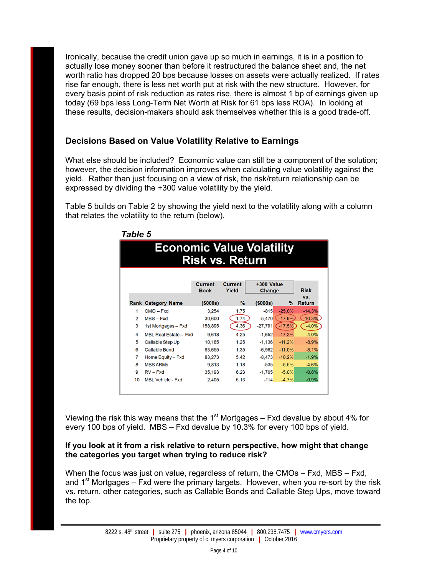Ironically, because the credit union gave up so much in earnings, it is in a position to actually lose money sooner than before it restructured the balance sheet and, the net worth ratio has dropped 20 bps because losses on assets were actually realized. If rates rise far enough, there is less net worth put at risk with the new structure. However, for every basis point of risk reduction as rates rise, there is almost 1 bp of earnings given up today (69 bps less Long-Term Net Worth at Risk for 61 bps less ROA). In looking at these results, decision-makers should ask themselves whether this is a good trade-off.

# **Decisions Based on Value Volatility Relative to Earnings**

What else should be included? Economic value can still be a component of the solution; however, the decision information improves when calculating value volatility against the yield. Rather than just focusing on a view of risk, the risk/return relationship can be expressed by dividing the +300 value volatility by the yield.

Table 5 builds on Table 2 by showing the yield next to the volatility along with a column that relates the volatility to the return (below).

|    | <b>Economic Value Volatility</b> |                               | <b>Risk vs. Return</b>  |                      |           |                      |
|----|----------------------------------|-------------------------------|-------------------------|----------------------|-----------|----------------------|
|    |                                  | <b>Current</b><br><b>Book</b> | <b>Current</b><br>Yield | +300 Value<br>Change |           | <b>Risk</b>          |
|    | <b>Rank Category Name</b>        | (\$000s)                      | $\%$                    | (\$000s)             | $\%$      | VS.<br><b>Return</b> |
| 1  | $CMO - Fxd$                      | 3,254                         | 1.75                    | $-815$               | $-25.0%$  | $-14.3%$             |
| 2  | MBS-Fxd                          | 30,600                        | 1.74                    | $-5,470$             | $-17.9%$  | $-10.3%$             |
| 3  | 1st Mortgages - Fxd              | 158,895                       | 4.36                    | $-27,791$            | $(-17.5%$ | $-4.0%$              |
| 4  | MBL Real Estate - Fxd            | 9,618                         | 4.25                    | $-1,652$             | $-17.2%$  | $-4.0%$              |
| 5  | Callable Step Up                 | 10,185                        | 1.25                    | $-1,136$             | $-11.2%$  | $-8.9%$              |
| 6  | <b>Callable Bond</b>             | 63,655                        | 1.35                    | $-6,982$             | $-11.0%$  | $-8.1%$              |
| 7  | Home Equity - Fxd                | 83,273                        | 5.42                    | $-8.473$             | $-10.2%$  | $-1.9%$              |
| 8  | <b>MBS ARMs</b>                  | 9,813                         | 1.18                    | $-535$               | $-5.5%$   | $-4.6%$              |
| 9  | $RV - Fxd$                       | 35,193                        | 6.23                    | $-1.765$             | $-5.0%$   | $-0.8%$              |
| 10 | <b>MBL Vehicle - Fxd</b>         | 2,405                         | 5.13                    | $-114$               | $-4.7%$   | $-0.9%$              |

Viewing the risk this way means that the  $1<sup>st</sup>$  Mortgages – Fxd devalue by about 4% for every 100 bps of yield. MBS – Fxd devalue by 10.3% for every 100 bps of yield.

#### **If you look at it from a risk relative to return perspective, how might that change the categories you target when trying to reduce risk?**

When the focus was just on value, regardless of return, the CMOs – Fxd, MBS – Fxd, and  $1<sup>st</sup>$  Mortgages – Fxd were the primary targets. However, when you re-sort by the risk vs. return, other categories, such as Callable Bonds and Callable Step Ups, move toward the top.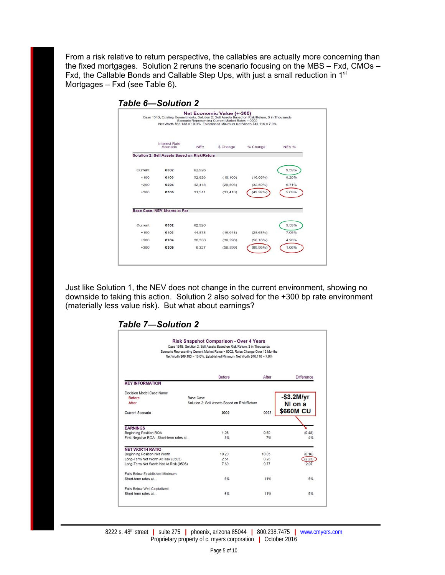From a risk relative to return perspective, the callables are actually more concerning than the fixed mortgages. Solution 2 reruns the scenario focusing on the MBS – Fxd, CMOs – Fxd, the Callable Bonds and Callable Step Ups, with just a small reduction in 1st Mortgages – Fxd (see Table 6).

|         |                                              |            | Net Economic Value (+-300)<br>Scenario Representing Current Market Rates = 0002 | Case 151B, Existing Commitments, Solution 2: Sell Assets Based on Risk/Return. \$ in Thousands<br>Net Worth \$66,183 = 10.0%, Established Minimum Net Worth \$46,116 = 7.0% |       |
|---------|----------------------------------------------|------------|---------------------------------------------------------------------------------|-----------------------------------------------------------------------------------------------------------------------------------------------------------------------------|-------|
|         | <b>Interest Rate</b><br>Scenario             | <b>NEV</b> | \$ Change                                                                       | % Change                                                                                                                                                                    | NEV % |
|         | Solution 2: Sell Assets Based on Risk/Return |            |                                                                                 |                                                                                                                                                                             |       |
| Current | 0002                                         | 62,926     |                                                                                 |                                                                                                                                                                             | 9.59% |
| $+100$  | 0103                                         | 52,826     | (10, 100)                                                                       | (16.05%)                                                                                                                                                                    | 8.20% |
| $+200$  | 0204                                         | 42.418     | (20, 508)                                                                       | (32.59%)                                                                                                                                                                    | 6.71% |
| $+300$  | 0305                                         | 31.511     | (31.416)                                                                        | (49.92%)                                                                                                                                                                    | 5.09% |
|         | Base Case: NEV Shares at Par                 |            |                                                                                 |                                                                                                                                                                             |       |
| Current | 0002                                         | 62.926     |                                                                                 |                                                                                                                                                                             | 9.59% |
| $+100$  | 0103                                         | 44,878     | (18,048)                                                                        | (28.68%)                                                                                                                                                                    | 7.05% |
| $+200$  | 0204                                         | 26.330     | (36, 596)                                                                       | (58.16%)                                                                                                                                                                    | 4.28% |
| $+300$  | 0305                                         | 6.327      | (56, 599)                                                                       | (89.95%)                                                                                                                                                                    | 1.06% |

Just like Solution 1, the NEV does not change in the current environment, showing no downside to taking this action. Solution 2 also solved for the +300 bp rate environment (materially less value risk). But what about earnings?

| Risk Snapshot Comparison - Over 4 Years<br>Case 151B, Solution 2: Sell Assets Based on Risk/Return, S in Thousands<br>Scenario Representing Current Market Rates = 0002, Rates Change Over 12 Months<br>Net Worth \$66,183 = 10.0%, Established Minimum Net Worth \$46,116 = 7.0% |                                              |       |                  |  |  |  |  |  |
|-----------------------------------------------------------------------------------------------------------------------------------------------------------------------------------------------------------------------------------------------------------------------------------|----------------------------------------------|-------|------------------|--|--|--|--|--|
|                                                                                                                                                                                                                                                                                   | <b>Before</b>                                | After | Difference       |  |  |  |  |  |
| <b>KEY INFORMATION</b>                                                                                                                                                                                                                                                            |                                              |       |                  |  |  |  |  |  |
| Decision Model Case Name                                                                                                                                                                                                                                                          |                                              |       |                  |  |  |  |  |  |
| <b>Before</b>                                                                                                                                                                                                                                                                     | Base Case                                    |       | $-$ \$3.2M/yr    |  |  |  |  |  |
| After                                                                                                                                                                                                                                                                             | Solution 2: Sell Assets Based on Risk/Return |       | NI on a          |  |  |  |  |  |
| Current Scenario                                                                                                                                                                                                                                                                  | 0002                                         | 0002  | <b>\$660M CU</b> |  |  |  |  |  |
| <b>EARNINGS</b>                                                                                                                                                                                                                                                                   |                                              |       |                  |  |  |  |  |  |
| <b>Beginning Position ROA</b>                                                                                                                                                                                                                                                     | 1.08                                         | 0.60  | (0.48)           |  |  |  |  |  |
| First Negative ROA: Short-term rates at                                                                                                                                                                                                                                           | 3%                                           | 7%    | 4%               |  |  |  |  |  |
| <b>NET WORTH RATIO</b>                                                                                                                                                                                                                                                            |                                              |       |                  |  |  |  |  |  |
| <b>Beginning Position Net Worth</b>                                                                                                                                                                                                                                               | 10.20                                        | 10.05 | (0.16)           |  |  |  |  |  |
| Long-Term Net Worth At Risk (0505)                                                                                                                                                                                                                                                | 2.51                                         | 0.28  | (2.23)           |  |  |  |  |  |
| Long-Term Net Worth Not At Risk (0505)                                                                                                                                                                                                                                            | 7.69                                         | 9.77  | 207              |  |  |  |  |  |
| Falls Below Established Minimum                                                                                                                                                                                                                                                   |                                              |       |                  |  |  |  |  |  |
| Short-term rates at                                                                                                                                                                                                                                                               | 6%                                           | 11%   | 5%               |  |  |  |  |  |
| Falls Below Well Capitalized:                                                                                                                                                                                                                                                     |                                              |       |                  |  |  |  |  |  |
| Short-term rates at                                                                                                                                                                                                                                                               | 6%                                           | 11%   | 5%               |  |  |  |  |  |

8222 s. 48th street **|** suite 275 **|** phoenix, arizona 85044 **|** 800.238.7475 **|** www.cmyers.com Proprietary property of c. myers corporation **|** October 2016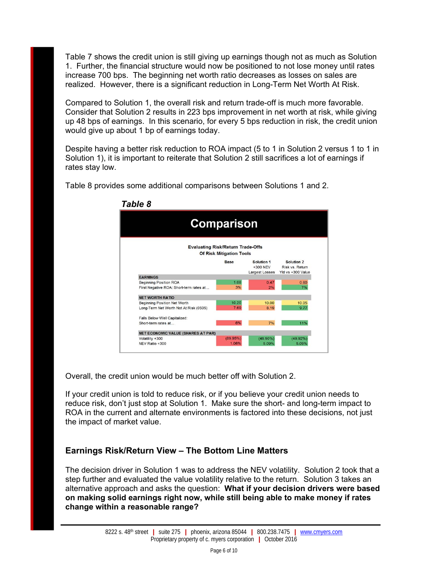Table 7 shows the credit union is still giving up earnings though not as much as Solution 1. Further, the financial structure would now be positioned to not lose money until rates increase 700 bps. The beginning net worth ratio decreases as losses on sales are realized. However, there is a significant reduction in Long-Term Net Worth At Risk.

Compared to Solution 1, the overall risk and return trade-off is much more favorable. Consider that Solution 2 results in 223 bps improvement in net worth at risk, while giving up 48 bps of earnings. In this scenario, for every 5 bps reduction in risk, the credit union would give up about 1 bp of earnings today.

Despite having a better risk reduction to ROA impact (5 to 1 in Solution 2 versus 1 to 1 in Solution 1), it is important to reiterate that Solution 2 still sacrifices a lot of earnings if rates stay low.



Table 8 provides some additional comparisons between Solutions 1 and 2.

Overall, the credit union would be much better off with Solution 2.

If your credit union is told to reduce risk, or if you believe your credit union needs to reduce risk, don't just stop at Solution 1. Make sure the short- and long-term impact to ROA in the current and alternate environments is factored into these decisions, not just the impact of market value.

## **Earnings Risk/Return View – The Bottom Line Matters**

The decision driver in Solution 1 was to address the NEV volatility. Solution 2 took that a step further and evaluated the value volatility relative to the return. Solution 3 takes an alternative approach and asks the question: **What if your decision drivers were based on making solid earnings right now, while still being able to make money if rates change within a reasonable range?**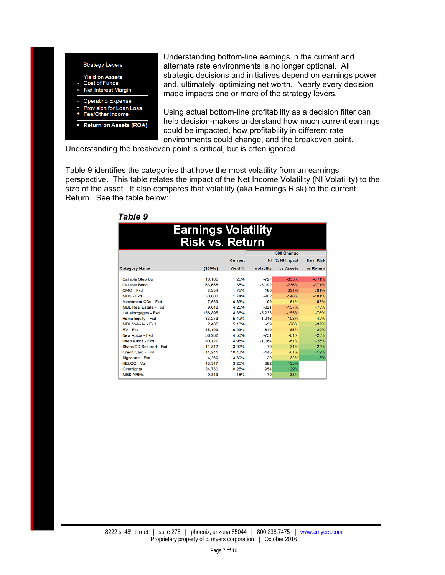

Understanding bottom-line earnings in the current and alternate rate environments is no longer optional. All strategic decisions and initiatives depend on earnings power and, ultimately, optimizing net worth. Nearly every decision made impacts one or more of the strategy levers.

Using actual bottom-line profitability as a decision filter can help decision-makers understand how much current earnings could be impacted, how profitability in different rate environments could change, and the breakeven point.

Understanding the breakeven point is critical, but is often ignored.

Table 9 identifies the categories that have the most volatility from an earnings perspective. This table relates the impact of the Net Income Volatility (NI Volatility) to the size of the asset. It also compares that volatility (aka Earnings Risk) to the current Return. See the table below:

| I UNIV J                                             |         |                |                   |                  |                  |  |  |  |
|------------------------------------------------------|---------|----------------|-------------------|------------------|------------------|--|--|--|
| <b>Earnings Volatility</b><br><b>Risk vs. Return</b> |         |                |                   |                  |                  |  |  |  |
|                                                      |         |                |                   | +300 Change      |                  |  |  |  |
|                                                      |         | <b>Current</b> | <b>NI</b>         | % NI Impact      | <b>Earn Risk</b> |  |  |  |
| <b>Category Name</b>                                 | (5000s) | Yield %        | <b>Volatility</b> | <b>vs Assets</b> | vs Return        |  |  |  |
| <b>Callable Step Up</b>                              | 10.185  | 1.25%          | $-727$            | $-335%$          | $-571%$          |  |  |  |
| <b>Callable Bond</b>                                 | 63.655  | 1.35%          | $-3.192$          | $-236%$          | $-371%$          |  |  |  |
| CMO - Fxd                                            | 3,254   | 1.75%          | $-160$            | $-231%$          | $-281%$          |  |  |  |
| MBS - Fxd                                            | 30,600  | 1.74%          | $-962$            | $-148%$          | $-181%$          |  |  |  |
| <b>Investment CDs - Fxd</b>                          | 7.639   | 0.83%          | $-99$             | $-61%$           | $-155%$          |  |  |  |
| <b>MBL Real Estate - Fxd</b>                         | 9.618   | 4.25%          | $-321$            | $-157%$          | $-78%$           |  |  |  |
| 1st Mortgages - Fxd                                  | 158,895 | 4.36%          | $-5.233$          | $-155%$          | $-76%$           |  |  |  |
| Home Equity - Fxd                                    | 83.273  | 5.42%          | $-1.916$          | $-108%$          | $-42%$           |  |  |  |
| <b>MBL Vehicle - Fxd</b>                             | 2.405   | 5.13%          | $-39$             | $-76%$           | $-32%$           |  |  |  |
| RV - Fxd                                             | 35,193  | 6.23%          | $-640$            | $-85%$           | $-29%$           |  |  |  |
| New Autos - Fxd                                      | 58,282  | 4.58%          | $-751$            | $-61%$           | $-28%$           |  |  |  |
| <b>Used Autos - Fxd</b>                              | 90.127  | 4.98%          | $-1.164$          | $-61%$           | $-26%$           |  |  |  |
| Share/CD Secured - Fxd                               | 11,812  | 3.02%          | $-79$             | $-31%$           | $-22%$           |  |  |  |
| Credit Card - Fxd                                    | 11,241  | 10.43%         | $-145$            | $-61%$           | $-12%$           |  |  |  |
| Signature - Fxd                                      | 4.260   | 13.30%         | $-29$             | $-32%$           | $-5%$            |  |  |  |
| <b>HELOC - Var</b>                                   | 13,317  | 3.25%          | 382               | 135%             |                  |  |  |  |
| Overnights                                           | 34.730  | 0.25%          | 954               | 129%             |                  |  |  |  |
| <b>MBS ARMs</b>                                      | 9,813   | 1.18%          | 79                | 38%              |                  |  |  |  |

# *Table 9*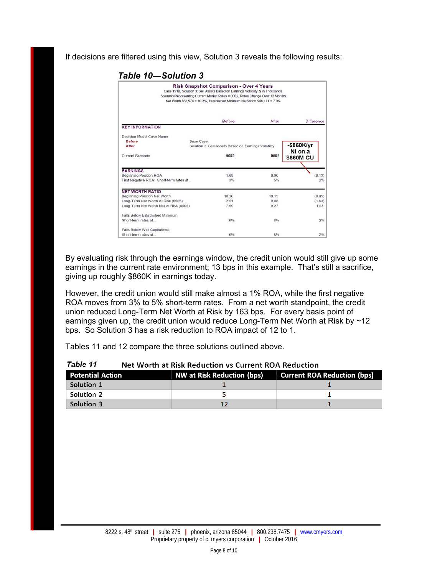If decisions are filtered using this view, Solution 3 reveals the following results:

 *Table 10―Solution 3* 

|                                         | Risk Snapshot Comparison - Over 4 Years<br>Case 151B, Solution 3: Sell Assets Based on Earnings Volatility, \$ in Thousands<br>Scenario Representing Current Market Rates = 0002, Rates Change Over 12 Months<br>Net Worth \$66,974 = 10.2%, Established Minimum Net Worth \$46.171 = 7.0% |       |                             |
|-----------------------------------------|--------------------------------------------------------------------------------------------------------------------------------------------------------------------------------------------------------------------------------------------------------------------------------------------|-------|-----------------------------|
|                                         | Before                                                                                                                                                                                                                                                                                     | After | Difference                  |
| <b>KEY INFORMATION</b>                  |                                                                                                                                                                                                                                                                                            |       |                             |
| Decision Model Case Name                |                                                                                                                                                                                                                                                                                            |       |                             |
| <b>Before</b>                           | <b>Base Case</b>                                                                                                                                                                                                                                                                           |       |                             |
| After                                   | Solution 3: Sell Assets Based on Earnings Volatility                                                                                                                                                                                                                                       |       | $-$ \$860K/yr               |
| Current Scenario                        | 0002                                                                                                                                                                                                                                                                                       | 0002  | NI on a<br><b>\$660M CU</b> |
| <b>EARNINGS</b>                         |                                                                                                                                                                                                                                                                                            |       |                             |
| <b>Beginning Position ROA</b>           | 1.08                                                                                                                                                                                                                                                                                       | 0.96  | (0.13)                      |
| First Negative ROA: Short-term rates at | 3%                                                                                                                                                                                                                                                                                         | 5%    | 2%                          |
| <b>NET WORTH RATIO</b>                  |                                                                                                                                                                                                                                                                                            |       |                             |
| Beainning Position Net Worth            | 10.20                                                                                                                                                                                                                                                                                      | 10.15 | (0.05)                      |
| Long-Term Net Worth At Risk (0505)      | 2.51                                                                                                                                                                                                                                                                                       | 0.88  | (1.63)                      |
| Long-Term Net Worth Not At Risk (0505)  | 7.69                                                                                                                                                                                                                                                                                       | 9.27  | 1.58                        |
| Falls Below Established Minimum         |                                                                                                                                                                                                                                                                                            |       |                             |
| Short-term rates at                     | 6%                                                                                                                                                                                                                                                                                         | 8%    | 2%                          |
| Falls Below Well Capitalized:           |                                                                                                                                                                                                                                                                                            |       |                             |
| Short-term rates at                     | 6%                                                                                                                                                                                                                                                                                         | 8%    | 2%                          |

By evaluating risk through the earnings window, the credit union would still give up some earnings in the current rate environment; 13 bps in this example. That's still a sacrifice, giving up roughly \$860K in earnings today.

However, the credit union would still make almost a 1% ROA, while the first negative ROA moves from 3% to 5% short-term rates. From a net worth standpoint, the credit union reduced Long-Term Net Worth at Risk by 163 bps. For every basis point of earnings given up, the credit union would reduce Long-Term Net Worth at Risk by ~12 bps. So Solution 3 has a risk reduction to ROA impact of 12 to 1.

Tables 11 and 12 compare the three solutions outlined above.

| <b>Potential Action</b> | NW at Risk Reduction (bps) | <b>Current ROA Reduction (bps)</b> |
|-------------------------|----------------------------|------------------------------------|
| Solution 1              |                            |                                    |
| Solution 2              |                            |                                    |
| Solution 3              |                            |                                    |

Table 11 Net Worth at Risk Reduction vs Current ROA Reduction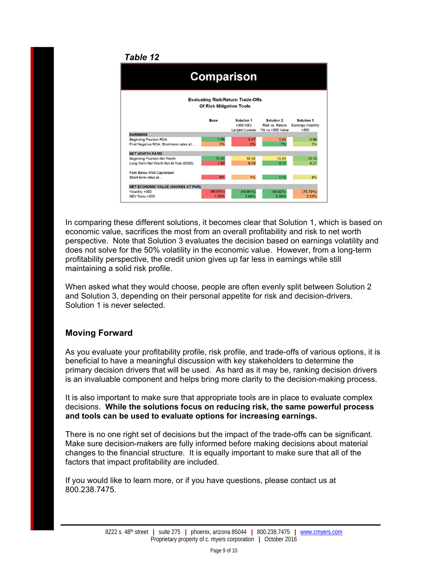### *Table 12*

| <b>Comparison</b>                                                           |          |                                                 |                                                    |                                                    |  |  |  |  |  |  |
|-----------------------------------------------------------------------------|----------|-------------------------------------------------|----------------------------------------------------|----------------------------------------------------|--|--|--|--|--|--|
| <b>Evaluating Risk/Return Trade-Offs</b><br><b>Of Risk Mitigation Tools</b> |          |                                                 |                                                    |                                                    |  |  |  |  |  |  |
|                                                                             | Base     | Solution 1<br>+300 NEV<br><b>Largest Losses</b> | Solution 2<br>Risk vs. Return<br>Yld vs +300 Value | Solution 3<br><b>Earnings Volatility</b><br>$+300$ |  |  |  |  |  |  |
| <b>EARNINGS</b>                                                             |          |                                                 |                                                    |                                                    |  |  |  |  |  |  |
| <b>Beginning Position ROA</b>                                               | 1.08     | 0.47                                            | 0.60                                               | 0.96                                               |  |  |  |  |  |  |
| First Negative ROA: Short-term rates at                                     | 3%       | 2%                                              | 7%                                                 | 5%                                                 |  |  |  |  |  |  |
| <b>NET WORTH RATIO</b>                                                      |          |                                                 |                                                    |                                                    |  |  |  |  |  |  |
| <b>Beginning Position Net Worth</b>                                         | 10.20    | 10.00                                           | 10.05                                              | 10.15                                              |  |  |  |  |  |  |
| Long-Term Net Worth Not At Risk (0505)                                      | 7.69     | 8.19                                            | 9.77                                               | 9.27                                               |  |  |  |  |  |  |
| Falls Below Well Capitalized:                                               |          |                                                 |                                                    |                                                    |  |  |  |  |  |  |
| Short-term rates at                                                         | 6%       | 7%                                              | 11%                                                | 8%                                                 |  |  |  |  |  |  |
| <b>NET ECONOMIC VALUE (SHARES AT PAR)</b>                                   |          |                                                 |                                                    |                                                    |  |  |  |  |  |  |
| Volatility +300                                                             | (89.95%) | $(49.90\%)$                                     | $(49.92\%)$                                        | (75.79%)                                           |  |  |  |  |  |  |
| NEV Ratio +300                                                              | 1.06%    | 5.09%                                           | 5.09%                                              | 2.53%                                              |  |  |  |  |  |  |

In comparing these different solutions, it becomes clear that Solution 1, which is based on economic value, sacrifices the most from an overall profitability and risk to net worth perspective. Note that Solution 3 evaluates the decision based on earnings volatility and does not solve for the 50% volatility in the economic value. However, from a long-term profitability perspective, the credit union gives up far less in earnings while still maintaining a solid risk profile.

When asked what they would choose, people are often evenly split between Solution 2 and Solution 3, depending on their personal appetite for risk and decision-drivers. Solution 1 is never selected.

## **Moving Forward**

As you evaluate your profitability profile, risk profile, and trade-offs of various options, it is beneficial to have a meaningful discussion with key stakeholders to determine the primary decision drivers that will be used. As hard as it may be, ranking decision drivers is an invaluable component and helps bring more clarity to the decision-making process.

It is also important to make sure that appropriate tools are in place to evaluate complex decisions. **While the solutions focus on reducing risk, the same powerful process and tools can be used to evaluate options for increasing earnings.**

There is no one right set of decisions but the impact of the trade-offs can be significant. Make sure decision-makers are fully informed before making decisions about material changes to the financial structure. It is equally important to make sure that all of the factors that impact profitability are included.

If you would like to learn more, or if you have questions, please contact us at 800.238.7475.